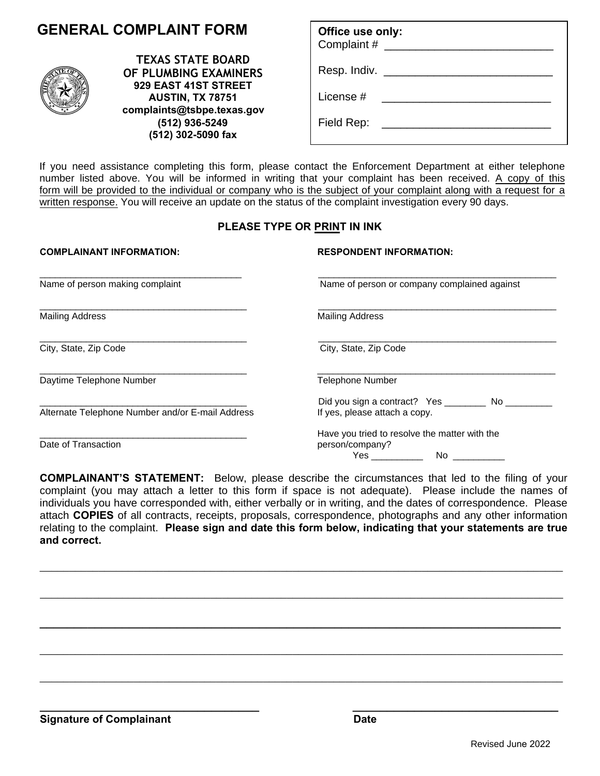# **GENERAL COMPLAINT FORM**



**TEXAS STATE BOARD OF PLUMBING EXAMINERS 929 EAST 41ST STREET AUSTIN, TX 78751 (512) 936-5249 (512) 302-5090 fax complaints@tsbpe.texas.gov**

| Office use only:<br>Complaint # |
|---------------------------------|
| Resp. Indiv.                    |
| License #                       |
| Field Rep:                      |
|                                 |

If you need assistance completing this form, please contact the Enforcement Department at either telephone number listed above. You will be informed in writing that your complaint has been received. A copy of this form will be provided to the individual or company who is the subject of your complaint along with a request for a written response. You will receive an update on the status of the complaint investigation every 90 days.

#### **PLEASE TYPE OR PRINT IN INK**

**COMPLAINANT INFORMATION: RESPONDENT INFORMATION:** 

| Name of person making complaint                  | Name of person or company complained against                                           |
|--------------------------------------------------|----------------------------------------------------------------------------------------|
| <b>Mailing Address</b>                           | <b>Mailing Address</b>                                                                 |
| City, State, Zip Code                            | City, State, Zip Code                                                                  |
| Daytime Telephone Number                         | <b>Telephone Number</b>                                                                |
| Alternate Telephone Number and/or E-mail Address | Did you sign a contract? Yes _______<br>No l<br>If yes, please attach a copy.          |
| Date of Transaction                              | Have you tried to resolve the matter with the<br>person/company?<br><b>Yes</b><br>No l |

**COMPLAINANT'S STATEMENT:** Below, please describe the circumstances that led to the filing of your complaint (you may attach a letter to this form if space is not adequate). Please include the names of individuals you have corresponded with, either verbally or in writing, and the dates of correspondence. Please attach **COPIES** of all contracts, receipts, proposals, correspondence, photographs and any other information relating to the complaint. **Please sign and date this form below, indicating that your statements are true and correct.** 

\_\_\_\_\_\_\_\_\_\_\_\_\_\_\_\_\_\_\_\_\_\_\_\_\_\_\_\_\_\_\_\_\_\_\_\_\_\_\_\_\_\_\_\_\_\_\_\_\_\_\_\_\_\_\_\_\_\_\_\_\_\_\_\_\_\_\_\_\_\_\_\_\_\_\_\_\_\_\_\_\_\_\_\_\_\_\_\_\_

\_\_\_\_\_\_\_\_\_\_\_\_\_\_\_\_\_\_\_\_\_\_\_\_\_\_\_\_\_\_\_\_\_\_\_\_\_\_\_\_\_\_\_\_\_\_\_\_\_\_\_\_\_\_\_\_\_\_\_\_\_\_\_\_\_\_\_\_\_\_\_\_\_\_\_\_\_\_\_\_\_\_\_\_\_\_\_\_\_

**\_\_\_\_\_\_\_\_\_\_\_\_\_\_\_\_\_\_\_\_\_\_\_\_\_\_\_\_\_\_\_\_\_\_\_\_\_\_\_\_\_\_\_\_\_\_\_\_\_\_\_\_\_\_\_\_\_\_\_\_\_\_\_\_\_\_\_\_\_\_\_\_\_\_\_\_** 

\_\_\_\_\_\_\_\_\_\_\_\_\_\_\_\_\_\_\_\_\_\_\_\_\_\_\_\_\_\_\_\_\_\_\_\_\_\_\_\_\_\_\_\_\_\_\_\_\_\_\_\_\_\_\_\_\_\_\_\_\_\_\_\_\_\_\_\_\_\_\_\_\_\_\_\_\_\_\_\_\_\_\_\_\_\_\_\_\_

\_\_\_\_\_\_\_\_\_\_\_\_\_\_\_\_\_\_\_\_\_\_\_\_\_\_\_\_\_\_\_\_\_\_\_\_\_\_\_\_\_\_\_\_\_\_\_\_\_\_\_\_\_\_\_\_\_\_\_\_\_\_\_\_\_\_\_\_\_\_\_\_\_\_\_\_\_\_\_\_\_\_\_\_\_\_\_\_\_

**\_\_\_\_\_\_\_\_\_\_\_\_\_\_\_\_\_\_\_\_\_\_\_\_\_\_\_\_\_\_\_\_ \_\_\_\_\_\_\_\_\_\_\_\_\_\_\_\_\_\_\_\_\_\_\_\_\_\_\_\_\_\_** 

**Signature of Complainant Date Complainant Date Complainant Date Complains Complaint Complaint Complaint Complaint Complaint Complaint Complaint Complaint Complaint Complaint Complaint Complaint Complaint Complaint Complai**